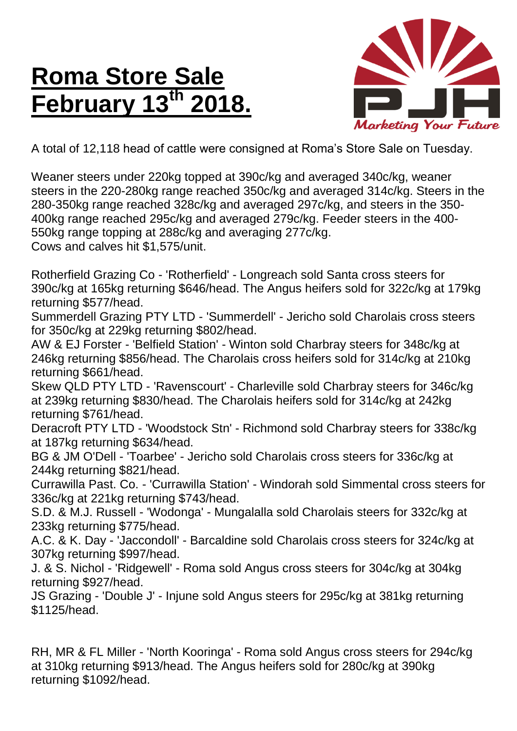## **Roma Store Sale February 13th 2018.**



A total of 12,118 head of cattle were consigned at Roma's Store Sale on Tuesday.

Weaner steers under 220kg topped at 390c/kg and averaged 340c/kg, weaner steers in the 220-280kg range reached 350c/kg and averaged 314c/kg. Steers in the 280-350kg range reached 328c/kg and averaged 297c/kg, and steers in the 350- 400kg range reached 295c/kg and averaged 279c/kg. Feeder steers in the 400- 550kg range topping at 288c/kg and averaging 277c/kg. Cows and calves hit \$1,575/unit.

Rotherfield Grazing Co - 'Rotherfield' - Longreach sold Santa cross steers for 390c/kg at 165kg returning \$646/head. The Angus heifers sold for 322c/kg at 179kg returning \$577/head.

Summerdell Grazing PTY LTD - 'Summerdell' - Jericho sold Charolais cross steers for 350c/kg at 229kg returning \$802/head.

AW & EJ Forster - 'Belfield Station' - Winton sold Charbray steers for 348c/kg at 246kg returning \$856/head. The Charolais cross heifers sold for 314c/kg at 210kg returning \$661/head.

Skew QLD PTY LTD - 'Ravenscourt' - Charleville sold Charbray steers for 346c/kg at 239kg returning \$830/head. The Charolais heifers sold for 314c/kg at 242kg returning \$761/head.

Deracroft PTY LTD - 'Woodstock Stn' - Richmond sold Charbray steers for 338c/kg at 187kg returning \$634/head.

BG & JM O'Dell - 'Toarbee' - Jericho sold Charolais cross steers for 336c/kg at 244kg returning \$821/head.

Currawilla Past. Co. - 'Currawilla Station' - Windorah sold Simmental cross steers for 336c/kg at 221kg returning \$743/head.

S.D. & M.J. Russell - 'Wodonga' - Mungalalla sold Charolais steers for 332c/kg at 233kg returning \$775/head.

A.C. & K. Day - 'Jaccondoll' - Barcaldine sold Charolais cross steers for 324c/kg at 307kg returning \$997/head.

J. & S. Nichol - 'Ridgewell' - Roma sold Angus cross steers for 304c/kg at 304kg returning \$927/head.

JS Grazing - 'Double J' - Injune sold Angus steers for 295c/kg at 381kg returning \$1125/head.

RH, MR & FL Miller - 'North Kooringa' - Roma sold Angus cross steers for 294c/kg at 310kg returning \$913/head. The Angus heifers sold for 280c/kg at 390kg returning \$1092/head.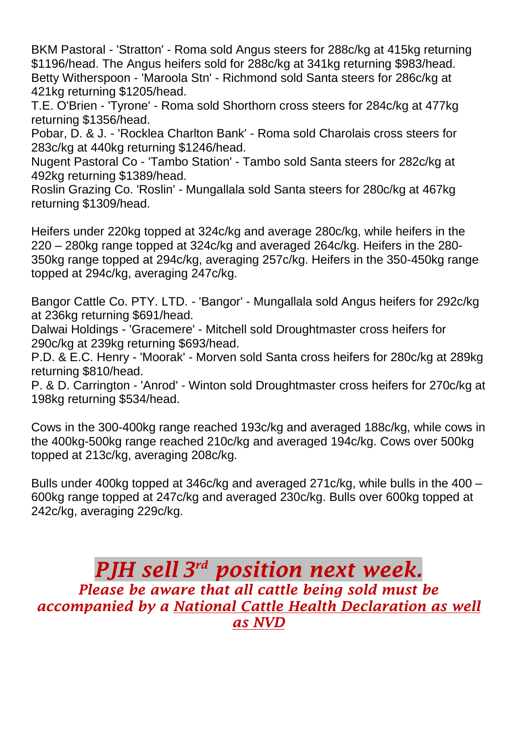BKM Pastoral - 'Stratton' - Roma sold Angus steers for 288c/kg at 415kg returning \$1196/head. The Angus heifers sold for 288c/kg at 341kg returning \$983/head. Betty Witherspoon - 'Maroola Stn' - Richmond sold Santa steers for 286c/kg at 421kg returning \$1205/head.

T.E. O'Brien - 'Tyrone' - Roma sold Shorthorn cross steers for 284c/kg at 477kg returning \$1356/head.

Pobar, D. & J. - 'Rocklea Charlton Bank' - Roma sold Charolais cross steers for 283c/kg at 440kg returning \$1246/head.

Nugent Pastoral Co - 'Tambo Station' - Tambo sold Santa steers for 282c/kg at 492kg returning \$1389/head.

Roslin Grazing Co. 'Roslin' - Mungallala sold Santa steers for 280c/kg at 467kg returning \$1309/head.

Heifers under 220kg topped at 324c/kg and average 280c/kg, while heifers in the 220 – 280kg range topped at 324c/kg and averaged 264c/kg. Heifers in the 280- 350kg range topped at 294c/kg, averaging 257c/kg. Heifers in the 350-450kg range topped at 294c/kg, averaging 247c/kg.

Bangor Cattle Co. PTY. LTD. - 'Bangor' - Mungallala sold Angus heifers for 292c/kg at 236kg returning \$691/head.

Dalwai Holdings - 'Gracemere' - Mitchell sold Droughtmaster cross heifers for 290c/kg at 239kg returning \$693/head.

P.D. & E.C. Henry - 'Moorak' - Morven sold Santa cross heifers for 280c/kg at 289kg returning \$810/head.

P. & D. Carrington - 'Anrod' - Winton sold Droughtmaster cross heifers for 270c/kg at 198kg returning \$534/head.

Cows in the 300-400kg range reached 193c/kg and averaged 188c/kg, while cows in the 400kg-500kg range reached 210c/kg and averaged 194c/kg. Cows over 500kg topped at 213c/kg, averaging 208c/kg.

Bulls under 400kg topped at 346c/kg and averaged 271c/kg, while bulls in the 400 – 600kg range topped at 247c/kg and averaged 230c/kg. Bulls over 600kg topped at 242c/kg, averaging 229c/kg.

## *PJH sell 3 rd position next week. Please be aware that all cattle being sold must be accompanied by a National Cattle Health Declaration as well as NVD*